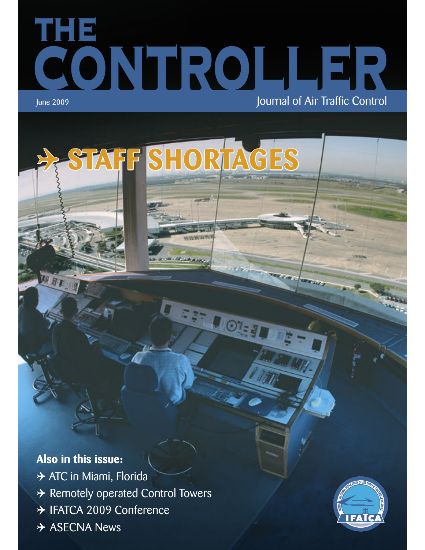# **THE CONTROLLER** June 2009 **June 2009 Journal of Air Traffic Control**

 $\odot$ 

4 **STAFF SHORTAGES**

# **Also in this issue:**

**→ ATC in Miami, Florida** 4 Remotely operated Control Towers → IFATCA 2009 Conference  $\rightarrow$  ASECNA News

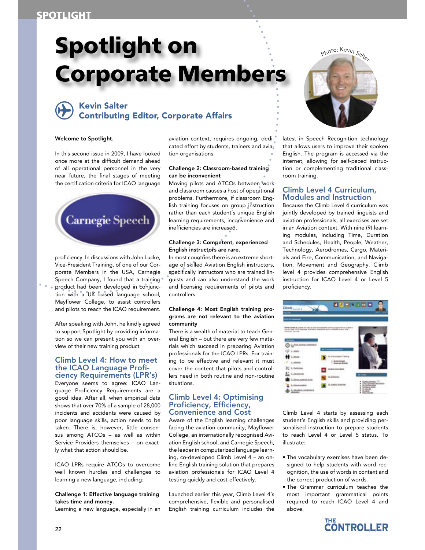# **Spotlight on Corporate Members**

# **A Kevin Salter<br>Contributing Editor, Corporate Affairs**

# Welcome to Spotlight.

In this second issue in 2009, I have looked once more at the difficult demand ahead of all operational personnel in the very near future, the final stages of meeting the certification criteria for ICAO language



proficiency. In discussions with John Lucke, Vice-President Training, of one of our Corporate Members in the USA, Carnegie Speech Company, I found that a training product had been developed in conjunction with a UK based language school, Mayflower College, to assist controllers and pilots to reach the ICAO requirement.

After speaking with John, he kindly agreed to support Spotlight by providing information so we can present you with an overview of their new training product

# Climb Level 4: How to meet the ICAO Language Proficiency Requirements (LPR's)

Everyone seems to agree: ICAO Language Proficiency Requirements are a good idea. After all, when empirical data shows that over 70% of a sample of 28,000 incidents and accidents were caused by poor language skills, action needs to be taken. There is, however, little consensus among ATCOs – as well as within Service Providers themselves – on exactly what that action should be.

ICAO LPRs require ATCOs to overcome well known hurdles and challenges to learning a new language, including:

Challenge 1: Effective language training takes time and money.

Learning a new language, especially in an

aviation context, requires ongoing, dedicated effort by students, trainers and aviation organisations.

# Challenge 2: Classroom-based training can be inconvenient

Moving pilots and ATCOs between work and classroom causes a host of operational problems. Furthermore, if classroom English training focuses on group instruction rather than each student's unique English learning requirements, inconvenience and inefficiencies are increased.

# Challenge 3: Competent, experienced English instructors are rare.

In most countries there is an extreme shortage of skilled Aviation English instructors, specifically instructors who are trained linguists and can also understand the work and licensing requirements of pilots and controllers.

# Challenge 4: Most English training programs are not relevant to the aviation community

There is a wealth of material to teach General English – but there are very few materials which succeed in preparing Aviation professionals for the ICAO LPRs. For training to be effective and relevant it must cover the content that pilots and controllers need in both routine and non-routine situations.

# Climb Level 4: Optimising Proficiency, Efficiency, Convenience and Cost

Aware of the English learning challenges facing the aviation community, Mayflower College, an internationally recognised Aviation English school, and Carnegie Speech, the leader in computerized language learning, co-developed Climb Level 4 – an online English training solution that prepares aviation professionals for ICAO Level 4 testing quickly and cost-effectively.

Launched earlier this year, Climb Level 4's comprehensive, flexible and personalised English training curriculum includes the



latest in Speech Recognition technology that allows users to improve their spoken English. The program is accessed via the internet, allowing for self-paced instruction or complementing traditional classroom training.

# Climb Level 4 Curriculum, Modules and Instruction

Because the Climb Level 4 curriculum was jointly developed by trained linguists and aviation professionals, all exercises are set in an Aviation context. With nine (9) learning modules, including Time, Duration and Schedules, Health, People, Weather, Technology, Aerodromes, Cargo, Materials and Fire, Communication, and Navigation, Movement and Geography, Climb level 4 provides comprehensive English instruction for ICAO Level 4 or Level 5 proficiency.



Climb Level 4 starts by assessing each student's English skills and providing personalised instruction to prepare students to reach Level 4 or Level 5 status. To illustrate:

- The vocabulary exercises have been designed to help students with word recognition, the use of words in context and the correct production of words.
- · The Grammar curriculum teaches the most important grammatical points required to reach ICAO Level 4 and above.

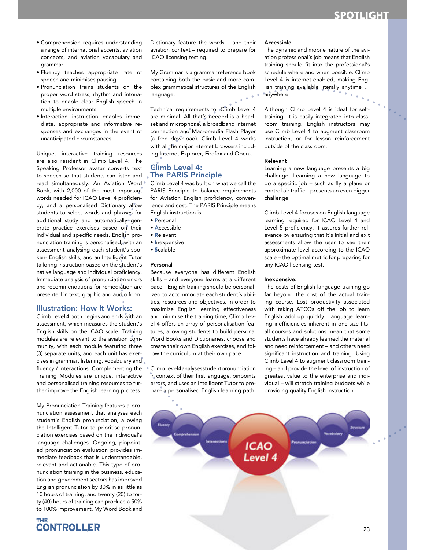- · Comprehension requires understanding a range of international accents, aviation concepts, and aviation vocabulary and grammar
- · Fluency teaches appropriate rate of speech and minimises pausing
- · Pronunciation trains students on the proper word stress, rhythm and intonation to enable clear English speech in multiple environments
- · Interaction instruction enables immediate, appropriate and informative responses and exchanges in the event of unanticipated circumstances

Unique, interactive training resources are also resident in Climb Level 4. The Speaking Professor avatar converts text to speech so that students can listen and read simultaneously. An Aviation Word Book, with 2,000 of the most important words needed for ICAO Level 4 proficiency, and a personalised Dictionary allow students to select words and phrases for additional study and automatically generate practice exercises based on their individual and specific needs. English pronunciation training is personalised, with an assessment analysing each student's spoken- English skills, and an Intelligent Tutor tailoring instruction based on the student's native language and individual proficiency. Immediate analysis of pronunciation errors and recommendations for remediation are presented in text, graphic and audio form.

# **Illustration: How It Works:**

Climb Level 4 both begins and ends with an assessment, which measures the student's English skills on the ICAO scale. Training modules are relevant to the aviation community, with each module featuring three (3) separate units, and each unit has exercises in grammar, listening, vocabulary and fluency / interactions. Complementing the Training Modules are unique, interactive and personalised training resources to further improve the English learning process.

My Pronunciation Training features a pronunciation assessment that analyses each student's English pronunciation, allowing the Intelligent Tutor to prioritise pronunciation exercises based on the individual's language challenges. Ongoing, pinpointed pronunciation evaluation provides immediate feedback that is understandable, relevant and actionable. This type of pronunciation training in the business, education and government sectors has improved English pronunciation by 30% in as little as 10 hours of training, and twenty (20) to forty (40) hours of training can produce a 50% to 100% improvement. My Word Book and



Dictionary feature the words - and their aviation context - required to prepare for ICAO licensing testing.

My Grammar is a grammar reference book containing both the basic and more complex grammatical structures of the English language.

Technical requirements for Climb Level 4 are minimal. All that's needed is a headset and microphone, a broadband internet connection and Macromedia Flash Player (a free download). Climb Level 4 works with all the major internet browsers including Internet Explorer, Firefox and Opera.

# **Climb Level 4: The PARIS Principle**

Climb Level 4 was built on what we call the PARIS Principle to balance requirements for Aviation English proficiency, convenience and cost. The PARIS Principle means English instruction is:

- Personal
- · Accessible
- Relevant
- · Inexpensive
- · Scalable

#### Personal

Because everyone has different English skills - and everyone learns at a different pace - English training should be personalized to accommodate each student's abilities, resources and objectives. In order to maximize English learning effectiveness and minimise the training time, Climb Level 4 offers an array of personalisation features, allowing students to build personal Word Books and Dictionaries, choose and create their own English exercises, and follow the curriculum at their own pace.

ClimbLevel4analysesstudentpronunciation in context of their first language, pinpoints errors, and uses an Intelligent Tutor to prepare a personalised English learning path.

#### Accessible

The dynamic and mobile nature of the aviation professional's job means that English training should fit into the professional's schedule where and when possible. Climb Level 4 is internet-enabled, making English training available literally anytime ... anywhere.

Although Climb Level 4 is ideal for selftraining, it is easily integrated into classroom training. English instructors may use Climb Level 4 to augment classroom instruction, or for lesson reinforcement outside of the classroom.

### Relevant

Learning a new language presents a big challenge. Learning a new language to do a specific job - such as fly a plane or control air traffic - presents an even bigger challenge.

Climb Level 4 focuses on English language learning required for ICAO Level 4 and Level 5 proficiency. It assures further relevance by ensuring that it's initial and exit assessments allow the user to see their approximate level according to the ICAO scale - the optimal metric for preparing for any ICAO licensing test.

# Inexpensive:

The costs of English language training go far beyond the cost of the actual training course. Lost productivity associated with taking ATCOs off the job to learn English add up quickly. Language learning inefficiencies inherent in one-size-fitsall courses and solutions mean that some students have already learned the material and need reinforcement - and others need significant instruction and training. Using Climb Level 4 to augment classroom training - and provide the level of instruction of greatest value to the enterprise and individual - will stretch training budgets while providing quality English instruction.